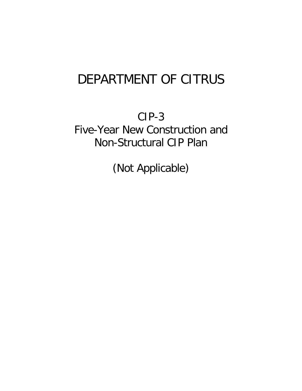## DEPARTMENT OF CITRUS

CIP-3 Non-Structural CIP Plan Five-Year New Construction and

(Not Applicable)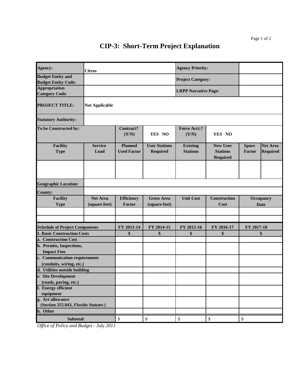## **CIP-3: Short-Term Project Explanation**

| Agency:                                                | <b>Citrus</b>                    |                                      |                                    | <b>Agency Priority:</b>            |                                                       |                          |                                    |
|--------------------------------------------------------|----------------------------------|--------------------------------------|------------------------------------|------------------------------------|-------------------------------------------------------|--------------------------|------------------------------------|
| <b>Budget Entity and</b><br><b>Budget Entity Code:</b> |                                  |                                      |                                    | <b>Project Category:</b>           |                                                       |                          |                                    |
| <b>Appropriation</b><br><b>Category Code:</b>          |                                  |                                      |                                    | <b>LRPP Narrative Page:</b>        |                                                       |                          |                                    |
| <b>PROJECT TITLE:</b>                                  | <b>Not Applicable</b>            |                                      |                                    |                                    |                                                       |                          |                                    |
| <b>Statutory Authority:</b>                            |                                  |                                      |                                    |                                    |                                                       |                          |                                    |
| To be Constructed by:                                  |                                  | <b>Contract?</b><br>(Y/N)            | YES NO                             | <b>Force Acct.?</b><br>(Y/N)       | YES NO                                                |                          |                                    |
| <b>Facility</b><br><b>Type</b>                         | <b>Service</b><br>Load           | <b>Planned</b><br><b>Used Factor</b> | <b>User Stations</b><br>Required   | <b>Existing</b><br><b>Stations</b> | <b>New User</b><br><b>Stations</b><br><b>Required</b> | <b>Space</b><br>Factor   | <b>Net Area</b><br><b>Required</b> |
|                                                        |                                  |                                      |                                    |                                    |                                                       |                          |                                    |
| <b>Geographic Location:</b>                            |                                  |                                      |                                    |                                    |                                                       |                          |                                    |
| <b>County:</b>                                         |                                  |                                      |                                    |                                    |                                                       |                          |                                    |
| <b>Facility</b><br><b>Type</b>                         | <b>Net Area</b><br>(square feet) | <b>Efficiency</b><br>Factor          | <b>Gross Area</b><br>(square feet) | <b>Unit Cost</b>                   | Construction<br>Cost                                  | Occupancy<br><b>Date</b> |                                    |
|                                                        |                                  |                                      |                                    |                                    |                                                       |                          |                                    |
| <b>Schedule of Project Components</b>                  |                                  | FY 2013-14                           | FY 2014-15                         | FY 2015-16                         | FY 2016-17                                            | FY 2017-18               |                                    |
| 1. Basic Construction Costs                            |                                  | \$                                   | \$                                 | \$                                 | \$                                                    | \$                       |                                    |
| a. Construction Cost                                   |                                  |                                      |                                    |                                    |                                                       |                          |                                    |
| b. Permits, Inspections,<br><b>Impact Fees</b>         |                                  |                                      |                                    |                                    |                                                       |                          |                                    |
| c. Communication requirements                          |                                  |                                      |                                    |                                    |                                                       |                          |                                    |
| (conduits, wiring, etc.)                               |                                  |                                      |                                    |                                    |                                                       |                          |                                    |
| d. Utilities outside building                          |                                  |                                      |                                    |                                    |                                                       |                          |                                    |
| e. Site Development                                    |                                  |                                      |                                    |                                    |                                                       |                          |                                    |
| (roads, paving, etc.)<br>f. Energy efficient           |                                  |                                      |                                    |                                    |                                                       |                          |                                    |
| equipment                                              |                                  |                                      |                                    |                                    |                                                       |                          |                                    |
| g. Art allowance                                       |                                  |                                      |                                    |                                    |                                                       |                          |                                    |
| (Section 255.043, Florida Statutes)                    |                                  |                                      |                                    |                                    |                                                       |                          |                                    |
| h. Other                                               |                                  |                                      |                                    |                                    |                                                       |                          |                                    |
| Subtotal:                                              |                                  | $\mathbb{S}$                         | \$                                 | $\$$                               | \$                                                    | \$                       |                                    |

*Office of Policy and Budget - July 2011*